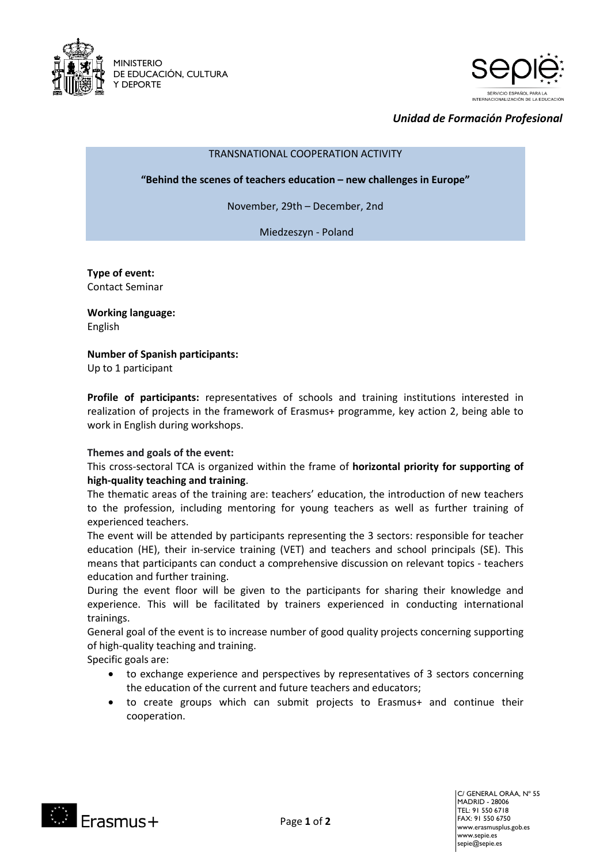



# *Unidad de Formación Profesional*

TRANSNATIONAL COOPERATION ACTIVITY

**"Behind the scenes of teachers education – new challenges in Europe"**

November, 29th – December, 2nd

Miedzeszyn - Poland

**Type of event:** Contact Seminar

**Working language:**  English

**Number of Spanish participants:**

Up to 1 participant

**Profile of participants:** representatives of schools and training institutions interested in realization of projects in the framework of Erasmus+ programme, key action 2, being able to work in English during workshops.

## **Themes and goals of the event:**

This cross-sectoral TCA is organized within the frame of **horizontal priority for supporting of high-quality teaching and training**.

The thematic areas of the training are: teachers' education, the introduction of new teachers to the profession, including mentoring for young teachers as well as further training of experienced teachers.

The event will be attended by participants representing the 3 sectors: responsible for teacher education (HE), their in-service training (VET) and teachers and school principals (SE). This means that participants can conduct a comprehensive discussion on relevant topics - teachers education and further training.

During the event floor will be given to the participants for sharing their knowledge and experience. This will be facilitated by trainers experienced in conducting international trainings.

General goal of the event is to increase number of good quality projects concerning supporting of high-quality teaching and training.

Specific goals are:

- to exchange experience and perspectives by representatives of 3 sectors concerning the education of the current and future teachers and educators;
- to create groups which can submit projects to Erasmus+ and continue their cooperation.